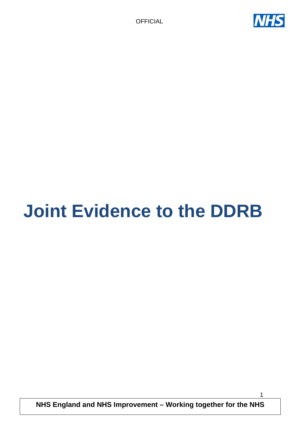

# **Joint Evidence to the DDRB**

**NHS England and NHS Improvement – Working together for the NHS**

1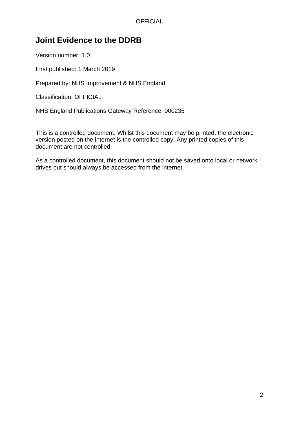### **Joint Evidence to the DDRB**

Version number: 1.0

First published: 1 March 2019

Prepared by: NHS Improvement & NHS England

Classification: OFFICIAL

NHS England Publications Gateway Reference: 000235

This is a controlled document. Whilst this document may be printed, the electronic version posted on the internet is the controlled copy. Any printed copies of this document are not controlled.

As a controlled document, this document should not be saved onto local or network drives but should always be accessed from the internet.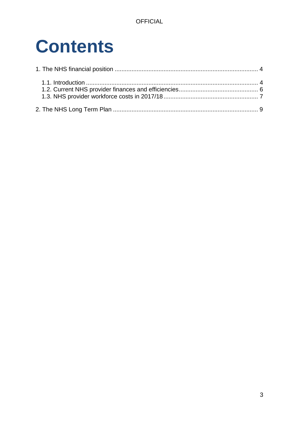### **Contents**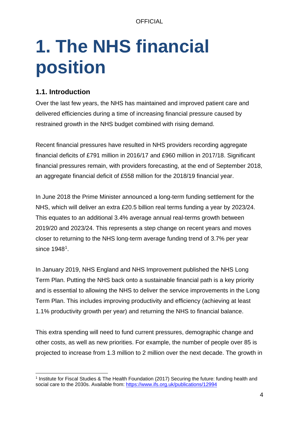# <span id="page-3-0"></span>**1. The NHS financial position**

### <span id="page-3-1"></span>**1.1. Introduction**

Over the last few years, the NHS has maintained and improved patient care and delivered efficiencies during a time of increasing financial pressure caused by restrained growth in the NHS budget combined with rising demand.

Recent financial pressures have resulted in NHS providers recording aggregate financial deficits of £791 million in 2016/17 and £960 million in 2017/18. Significant financial pressures remain, with providers forecasting, at the end of September 2018, an aggregate financial deficit of £558 million for the 2018/19 financial year.

In June 2018 the Prime Minister announced a long-term funding settlement for the NHS, which will deliver an extra £20.5 billion real terms funding a year by 2023/24. This equates to an additional 3.4% average annual real-terms growth between 2019/20 and 2023/24. This represents a step change on recent years and moves closer to returning to the NHS long-term average funding trend of 3.7% per year since 1948<sup>1</sup>.

In January 2019, NHS England and NHS Improvement published the NHS Long Term Plan. Putting the NHS back onto a sustainable financial path is a key priority and is essential to allowing the NHS to deliver the service improvements in the Long Term Plan. This includes improving productivity and efficiency (achieving at least 1.1% productivity growth per year) and returning the NHS to financial balance.

This extra spending will need to fund current pressures, demographic change and other costs, as well as new priorities. For example, the number of people over 85 is projected to increase from 1.3 million to 2 million over the next decade. The growth in

<span id="page-3-2"></span> <sup>1</sup> Institute for Fiscal Studies & The Health Foundation (2017) Securing the future: funding health and social care to the 2030s. Available from:<https://www.ifs.org.uk/publications/12994>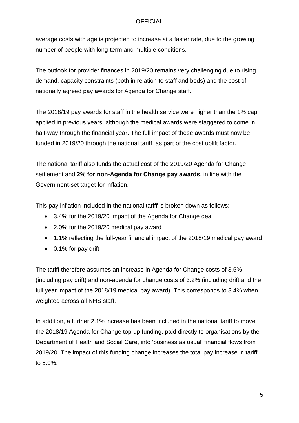average costs with age is projected to increase at a faster rate, due to the growing number of people with long-term and multiple conditions.

The outlook for provider finances in 2019/20 remains very challenging due to rising demand, capacity constraints (both in relation to staff and beds) and the cost of nationally agreed pay awards for Agenda for Change staff.

The 2018/19 pay awards for staff in the health service were higher than the 1% cap applied in previous years, although the medical awards were staggered to come in half-way through the financial year. The full impact of these awards must now be funded in 2019/20 through the national tariff, as part of the cost uplift factor.

The national tariff also funds the actual cost of the 2019/20 Agenda for Change settlement and **2% for non-Agenda for Change pay awards**, in line with the Government-set target for inflation.

This pay inflation included in the national tariff is broken down as follows:

- 3.4% for the 2019/20 impact of the Agenda for Change deal
- 2.0% for the 2019/20 medical pay award
- 1.1% reflecting the full-year financial impact of the 2018/19 medical pay award
- 0.1% for pay drift

The tariff therefore assumes an increase in Agenda for Change costs of 3.5% (including pay drift) and non-agenda for change costs of 3.2% (including drift and the full year impact of the 2018/19 medical pay award). This corresponds to 3.4% when weighted across all NHS staff.

In addition, a further 2.1% increase has been included in the national tariff to move the 2018/19 Agenda for Change top-up funding, paid directly to organisations by the Department of Health and Social Care, into 'business as usual' financial flows from 2019/20. The impact of this funding change increases the total pay increase in tariff to 5.0%.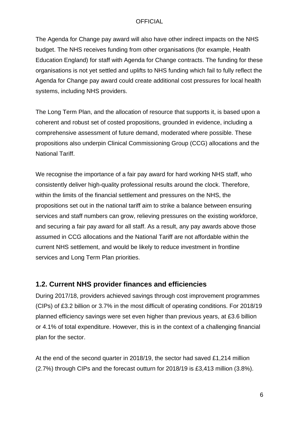The Agenda for Change pay award will also have other indirect impacts on the NHS budget. The NHS receives funding from other organisations (for example, Health Education England) for staff with Agenda for Change contracts. The funding for these organisations is not yet settled and uplifts to NHS funding which fail to fully reflect the Agenda for Change pay award could create additional cost pressures for local health systems, including NHS providers.

The Long Term Plan, and the allocation of resource that supports it, is based upon a coherent and robust set of costed propositions, grounded in evidence, including a comprehensive assessment of future demand, moderated where possible. These propositions also underpin Clinical Commissioning Group (CCG) allocations and the National Tariff.

We recognise the importance of a fair pay award for hard working NHS staff, who consistently deliver high-quality professional results around the clock. Therefore, within the limits of the financial settlement and pressures on the NHS, the propositions set out in the national tariff aim to strike a balance between ensuring services and staff numbers can grow, relieving pressures on the existing workforce, and securing a fair pay award for all staff. As a result, any pay awards above those assumed in CCG allocations and the National Tariff are not affordable within the current NHS settlement, and would be likely to reduce investment in frontline services and Long Term Plan priorities.

#### <span id="page-5-0"></span>**1.2. Current NHS provider finances and efficiencies**

During 2017/18, providers achieved savings through cost improvement programmes (CIPs) of £3.2 billion or 3.7% in the most difficult of operating conditions. For 2018/19 planned efficiency savings were set even higher than previous years, at £3.6 billion or 4.1% of total expenditure. However, this is in the context of a challenging financial plan for the sector.

At the end of the second quarter in 2018/19, the sector had saved £1,214 million (2.7%) through CIPs and the forecast outturn for 2018/19 is £3,413 million (3.8%).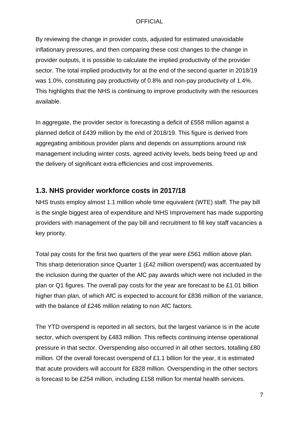By reviewing the change in provider costs, adjusted for estimated unavoidable inflationary pressures, and then comparing these cost changes to the change in provider outputs, it is possible to calculate the implied productivity of the provider sector. The total implied productivity for at the end of the second quarter in 2018/19 was 1.0%, constituting pay productivity of 0.8% and non-pay productivity of 1.4%. This highlights that the NHS is continuing to improve productivity with the resources available.

In aggregate, the provider sector is forecasting a deficit of £558 million against a planned deficit of £439 million by the end of 2018/19. This figure is derived from aggregating ambitious provider plans and depends on assumptions around risk management including winter costs, agreed activity levels, beds being freed up and the delivery of significant extra efficiencies and cost improvements.

#### <span id="page-6-0"></span>**1.3. NHS provider workforce costs in 2017/18**

NHS trusts employ almost 1.1 million whole time equivalent (WTE) staff. The pay bill is the single biggest area of expenditure and NHS Improvement has made supporting providers with management of the pay bill and recruitment to fill key staff vacancies a key priority.

Total pay costs for the first two quarters of the year were £561 million above plan. This sharp deterioration since Quarter 1 (£42 million overspend) was accentuated by the inclusion during the quarter of the AfC pay awards which were not included in the plan or Q1 figures. The overall pay costs for the year are forecast to be £1.01 billion higher than plan, of which AfC is expected to account for £836 million of the variance, with the balance of £246 million relating to non AfC factors.

The YTD overspend is reported in all sectors, but the largest variance is in the acute sector, which overspent by £483 million. This reflects continuing intense operational pressure in that sector. Overspending also occurred in all other sectors, totalling £80 million. Of the overall forecast overspend of £1.1 billion for the year, it is estimated that acute providers will account for £828 million. Overspending in the other sectors is forecast to be £254 million, including £158 million for mental health services.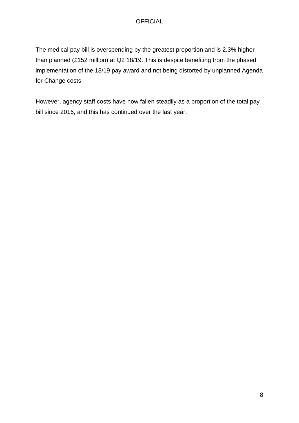The medical pay bill is overspending by the greatest proportion and is 2.3% higher than planned (£152 million) at Q2 18/19. This is despite benefiting from the phased implementation of the 18/19 pay award and not being distorted by unplanned Agenda for Change costs.

However, agency staff costs have now fallen steadily as a proportion of the total pay bill since 2016, and this has continued over the last year.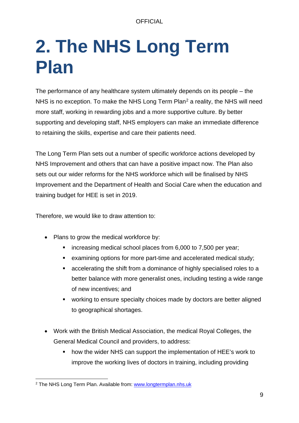# <span id="page-8-0"></span>**2. The NHS Long Term Plan**

The performance of any healthcare system ultimately depends on its people – the NHS is no exception. To make the NHS Long Term Plan<sup>[2](#page-8-1)</sup> a reality, the NHS will need more staff, working in rewarding jobs and a more supportive culture. By better supporting and developing staff, NHS employers can make an immediate difference to retaining the skills, expertise and care their patients need.

The Long Term Plan sets out a number of specific workforce actions developed by NHS Improvement and others that can have a positive impact now. The Plan also sets out our wider reforms for the NHS workforce which will be finalised by NHS Improvement and the Department of Health and Social Care when the education and training budget for HEE is set in 2019.

Therefore, we would like to draw attention to:

- Plans to grow the medical workforce by:
	- **increasing medical school places from 6,000 to 7,500 per year;**
	- examining options for more part-time and accelerated medical study;
	- accelerating the shift from a dominance of highly specialised roles to a better balance with more generalist ones, including testing a wide range of new incentives; and
	- working to ensure specialty choices made by doctors are better aligned to geographical shortages.
- Work with the British Medical Association, the medical Royal Colleges, the General Medical Council and providers, to address:
	- **how the wider NHS can support the implementation of HEE's work to** improve the working lives of doctors in training, including providing

<span id="page-8-1"></span><sup>&</sup>lt;sup>2</sup> The NHS Long Term Plan. Available from: [www.longtermplan.nhs.uk](http://www.longtermplan.nhs.uk/)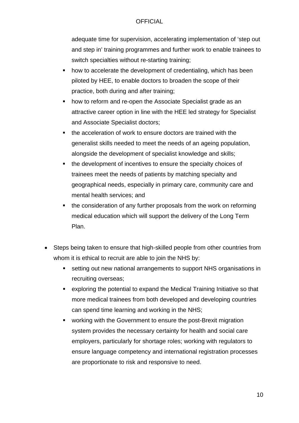adequate time for supervision, accelerating implementation of 'step out and step in' training programmes and further work to enable trainees to switch specialties without re-starting training;

- how to accelerate the development of credentialing, which has been piloted by HEE, to enable doctors to broaden the scope of their practice, both during and after training;
- how to reform and re-open the Associate Specialist grade as an attractive career option in line with the HEE led strategy for Specialist and Associate Specialist doctors;
- the acceleration of work to ensure doctors are trained with the generalist skills needed to meet the needs of an ageing population, alongside the development of specialist knowledge and skills;
- the development of incentives to ensure the specialty choices of trainees meet the needs of patients by matching specialty and geographical needs, especially in primary care, community care and mental health services; and
- the consideration of any further proposals from the work on reforming medical education which will support the delivery of the Long Term Plan.
- Steps being taken to ensure that high-skilled people from other countries from whom it is ethical to recruit are able to join the NHS by:
	- setting out new national arrangements to support NHS organisations in recruiting overseas;
	- exploring the potential to expand the Medical Training Initiative so that more medical trainees from both developed and developing countries can spend time learning and working in the NHS;
	- working with the Government to ensure the post-Brexit migration system provides the necessary certainty for health and social care employers, particularly for shortage roles; working with regulators to ensure language competency and international registration processes are proportionate to risk and responsive to need.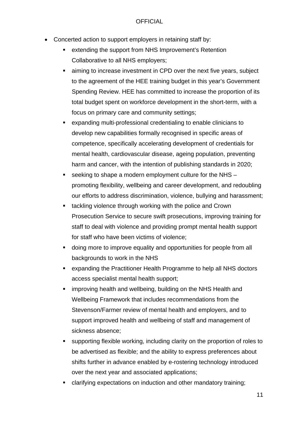- Concerted action to support employers in retaining staff by:
	- **EXTER 19 EXTENDING THE SUPPORT FROM NHS Improvement's Retention** Collaborative to all NHS employers;
	- aiming to increase investment in CPD over the next five years, subject to the agreement of the HEE training budget in this year's Government Spending Review. HEE has committed to increase the proportion of its total budget spent on workforce development in the short-term, with a focus on primary care and community settings;
	- expanding multi-professional credentialing to enable clinicians to develop new capabilities formally recognised in specific areas of competence, specifically accelerating development of credentials for mental health, cardiovascular disease, ageing population, preventing harm and cancer, with the intention of publishing standards in 2020;
	- seeking to shape a modern employment culture for the NHS promoting flexibility, wellbeing and career development, and redoubling our efforts to address discrimination, violence, bullying and harassment;
	- tackling violence through working with the police and Crown Prosecution Service to secure swift prosecutions, improving training for staff to deal with violence and providing prompt mental health support for staff who have been victims of violence;
	- doing more to improve equality and opportunities for people from all backgrounds to work in the NHS
	- expanding the Practitioner Health Programme to help all NHS doctors access specialist mental health support;
	- improving health and wellbeing, building on the NHS Health and Wellbeing Framework that includes recommendations from the Stevenson/Farmer review of mental health and employers, and to support improved health and wellbeing of staff and management of sickness absence;
	- supporting flexible working, including clarity on the proportion of roles to be advertised as flexible; and the ability to express preferences about shifts further in advance enabled by e-rostering technology introduced over the next year and associated applications;
	- clarifying expectations on induction and other mandatory training;